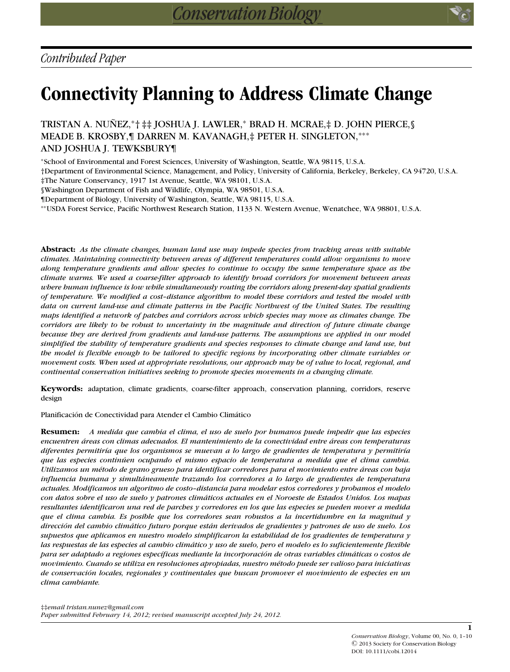# **Connectivity Planning to Address Climate Change**

TRISTAN A. NUNEZ, ˜ <sup>∗</sup>† ‡‡ JOSHUA J. LAWLER,<sup>∗</sup> BRAD H. MCRAE,‡ D. JOHN PIERCE,§ MEADE B. KROSBY,¶ DARREN M. KAVANAGH,‡ PETER H. SINGLETON,∗∗∗ AND JOSHUA J. TEWKSBURY¶

<sup>∗</sup>School of Environmental and Forest Sciences, University of Washington, Seattle, WA 98115, U.S.A.

†Department of Environmental Science, Management, and Policy, University of California, Berkeley, Berkeley, CA 94720, U.S.A. ‡The Nature Conservancy, 1917 1st Avenue, Seattle, WA 98101, U.S.A.

§Washington Department of Fish and Wildlife, Olympia, WA 98501, U.S.A.

¶Department of Biology, University of Washington, Seattle, WA 98115, U.S.A.

∗∗USDA Forest Service, Pacific Northwest Research Station, 1133 N. Western Avenue, Wenatchee, WA 98801, U.S.A.

**Abstract:** *As the climate changes, human land use may impede species from tracking areas with suitable climates. Maintaining connectivity between areas of different temperatures could allow organisms to move along temperature gradients and allow species to continue to occupy the same temperature space as the climate warms. We used a coarse-filter approach to identify broad corridors for movement between areas where human influence is low while simultaneously routing the corridors along present-day spatial gradients of temperature. We modified a cost–distance algorithm to model these corridors and tested the model with data on current land-use and climate patterns in the Pacific Northwest of the United States. The resulting maps identified a network of patches and corridors across which species may move as climates change. The corridors are likely to be robust to uncertainty in the magnitude and direction of future climate change because they are derived from gradients and land-use patterns. The assumptions we applied in our model simplified the stability of temperature gradients and species responses to climate change and land use, but the model is flexible enough to be tailored to specific regions by incorporating other climate variables or movement costs. When used at appropriate resolutions, our approach may be of value to local, regional, and continental conservation initiatives seeking to promote species movements in a changing climate.*

**Keywords:** adaptation, climate gradients, coarse-filter approach, conservation planning, corridors, reserve design

Planificación de Conectividad para Atender el Cambio Climático

**Resumen:** *A medida que cambia el clima, el uso de suelo por humanos puede impedir que las especies encuentren areas con climas adecuados. El mantenimiento de la conectividad entre ´ areas con temperaturas ´ diferentes permitir´ıa que los organismos se muevan a lo largo de gradientes de temperatura y permitir´ıa que las especies continuen ocupando el mismo espacio de temperatura a medida que el clima cambia. ´ Utilizamos un m´etodo de grano grueso para identificar corredores para el movimiento entre areas con baja ´ influencia humana y simultaneamente trazando los corredores a lo largo de gradientes de temperatura ´ actuales. Modificamos un algoritmo de costo–distancia para modelar estos corredores y probamos el modelo con datos sobre el uso de suelo y patrones climaticos actuales en el Noroeste de Estados Unidos. Los mapas ´ resultantes identificaron una red de parches y corredores en los que las especies se pueden mover a medida que el clima cambia. Es posible que los corredores sean robustos a la incertidumbre en la magnitud y direccion del cambio clim ´ atico futuro porque est ´ an derivados de gradientes y patrones de uso de suelo. Los ´ supuestos que aplicamos en nuestro modelo simplificaron la estabilidad de los gradientes de temperatura y las respuestas de las especies al cambio climatico y uso de suelo, pero el modelo es lo suficientemente flexible ´ para ser adaptado a regiones espec´ıficas mediante la incorporacion de otras variables clim ´ aticas o costos de ´ movimiento. Cuando se utiliza en resoluciones apropiadas, nuestro m´etodo puede ser valioso para iniciativas de conservacion locales, regionales y continentales que buscan promover el movimiento de especies en un ´ clima cambiante.*

**1**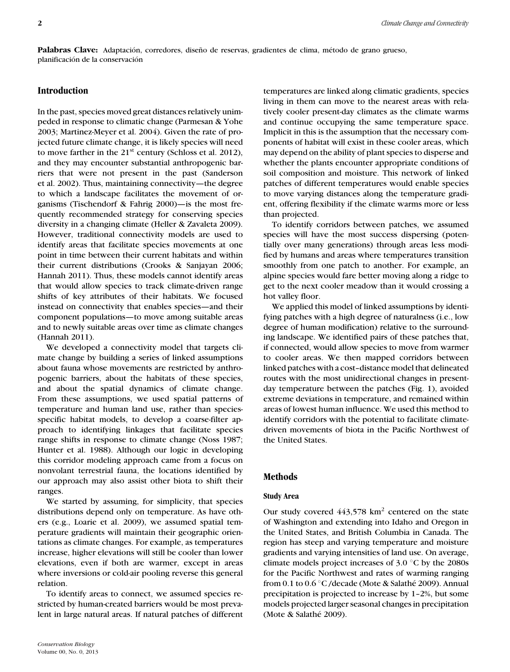Palabras Clave: Adaptación, corredores, diseño de reservas, gradientes de clima, método de grano grueso, planificación de la conservación

# **Introduction**

In the past, species moved great distances relatively unimpeded in response to climatic change (Parmesan & Yohe 2003; Martinez-Meyer et al. 2004). Given the rate of projected future climate change, it is likely species will need to move farther in the  $21<sup>st</sup>$  century (Schloss et al. 2012), and they may encounter substantial anthropogenic barriers that were not present in the past (Sanderson et al. 2002). Thus, maintaining connectivity—the degree to which a landscape facilitates the movement of organisms (Tischendorf & Fahrig 2000)—is the most frequently recommended strategy for conserving species diversity in a changing climate (Heller & Zavaleta 2009). However, traditional connectivity models are used to identify areas that facilitate species movements at one point in time between their current habitats and within their current distributions (Crooks & Sanjayan 2006; Hannah 2011). Thus, these models cannot identify areas that would allow species to track climate-driven range shifts of key attributes of their habitats. We focused instead on connectivity that enables species—and their component populations—to move among suitable areas and to newly suitable areas over time as climate changes (Hannah 2011).

We developed a connectivity model that targets climate change by building a series of linked assumptions about fauna whose movements are restricted by anthropogenic barriers, about the habitats of these species, and about the spatial dynamics of climate change. From these assumptions, we used spatial patterns of temperature and human land use, rather than speciesspecific habitat models, to develop a coarse-filter approach to identifying linkages that facilitate species range shifts in response to climate change (Noss 1987; Hunter et al. 1988). Although our logic in developing this corridor modeling approach came from a focus on nonvolant terrestrial fauna, the locations identified by our approach may also assist other biota to shift their ranges.

We started by assuming, for simplicity, that species distributions depend only on temperature. As have others (e.g., Loarie et al. 2009), we assumed spatial temperature gradients will maintain their geographic orientations as climate changes. For example, as temperatures increase, higher elevations will still be cooler than lower elevations, even if both are warmer, except in areas where inversions or cold-air pooling reverse this general relation.

To identify areas to connect, we assumed species restricted by human-created barriers would be most prevalent in large natural areas. If natural patches of different

temperatures are linked along climatic gradients, species living in them can move to the nearest areas with relatively cooler present-day climates as the climate warms and continue occupying the same temperature space. Implicit in this is the assumption that the necessary components of habitat will exist in these cooler areas, which may depend on the ability of plant species to disperse and whether the plants encounter appropriate conditions of soil composition and moisture. This network of linked patches of different temperatures would enable species to move varying distances along the temperature gradient, offering flexibility if the climate warms more or less than projected.

To identify corridors between patches, we assumed species will have the most success dispersing (potentially over many generations) through areas less modified by humans and areas where temperatures transition smoothly from one patch to another. For example, an alpine species would fare better moving along a ridge to get to the next cooler meadow than it would crossing a hot valley floor.

We applied this model of linked assumptions by identifying patches with a high degree of naturalness (i.e., low degree of human modification) relative to the surrounding landscape. We identified pairs of these patches that, if connected, would allow species to move from warmer to cooler areas. We then mapped corridors between linked patches with a cost–distance model that delineated routes with the most unidirectional changes in presentday temperature between the patches (Fig. 1), avoided extreme deviations in temperature, and remained within areas of lowest human influence. We used this method to identify corridors with the potential to facilitate climatedriven movements of biota in the Pacific Northwest of the United States.

#### **Methods**

#### **Study Area**

Our study covered  $443,578$  km<sup>2</sup> centered on the state of Washington and extending into Idaho and Oregon in the United States, and British Columbia in Canada. The region has steep and varying temperature and moisture gradients and varying intensities of land use. On average, climate models project increases of 3.0 ◦C by the 2080s for the Pacific Northwest and rates of warming ranging from 0.1 to  $0.6\,^{\circ}$ C /decade (Mote & Salathé 2009). Annual precipitation is projected to increase by 1–2%, but some models projected larger seasonal changes in precipitation (Mote & Salathé 2009).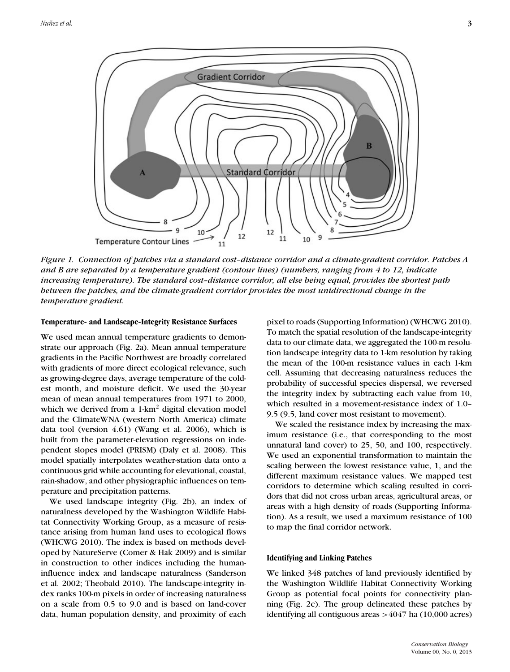

*Figure 1. Connection of patches via a standard cost–distance corridor and a climate-gradient corridor. Patches A and B are separated by a temperature gradient (contour lines) (numbers, ranging from 4 to 12, indicate increasing temperature). The standard cost–distance corridor, all else being equal, provides the shortest path between the patches, and the climate-gradient corridor provides the most unidirectional change in the temperature gradient.*

#### **Temperature- and Landscape-Integrity Resistance Surfaces**

We used mean annual temperature gradients to demonstrate our approach (Fig. 2a). Mean annual temperature gradients in the Pacific Northwest are broadly correlated with gradients of more direct ecological relevance, such as growing-degree days, average temperature of the coldest month, and moisture deficit. We used the 30-year mean of mean annual temperatures from 1971 to 2000, which we derived from a  $1 \cdot km^2$  digital elevation model and the ClimateWNA (western North America) climate data tool (version 4.61) (Wang et al. 2006), which is built from the parameter-elevation regressions on independent slopes model (PRISM) (Daly et al. 2008). This model spatially interpolates weather-station data onto a continuous grid while accounting for elevational, coastal, rain-shadow, and other physiographic influences on temperature and precipitation patterns.

We used landscape integrity (Fig. 2b), an index of naturalness developed by the Washington Wildlife Habitat Connectivity Working Group, as a measure of resistance arising from human land uses to ecological flows (WHCWG 2010). The index is based on methods developed by NatureServe (Comer & Hak 2009) and is similar in construction to other indices including the humaninfluence index and landscape naturalness (Sanderson et al. 2002; Theobald 2010). The landscape-integrity index ranks 100-m pixels in order of increasing naturalness on a scale from 0.5 to 9.0 and is based on land-cover data, human population density, and proximity of each pixel to roads (Supporting Information) (WHCWG 2010). To match the spatial resolution of the landscape-integrity data to our climate data, we aggregated the 100-m resolution landscape integrity data to 1-km resolution by taking the mean of the 100-m resistance values in each 1-km cell. Assuming that decreasing naturalness reduces the probability of successful species dispersal, we reversed the integrity index by subtracting each value from 10, which resulted in a movement-resistance index of 1.0– 9.5 (9.5, land cover most resistant to movement).

We scaled the resistance index by increasing the maximum resistance (i.e., that corresponding to the most unnatural land cover) to 25, 50, and 100, respectively. We used an exponential transformation to maintain the scaling between the lowest resistance value, 1, and the different maximum resistance values. We mapped test corridors to determine which scaling resulted in corridors that did not cross urban areas, agricultural areas, or areas with a high density of roads (Supporting Information). As a result, we used a maximum resistance of 100 to map the final corridor network.

# **Identifying and Linking Patches**

We linked 348 patches of land previously identified by the Washington Wildlife Habitat Connectivity Working Group as potential focal points for connectivity planning (Fig. 2c). The group delineated these patches by identifying all contiguous areas >4047 ha (10,000 acres)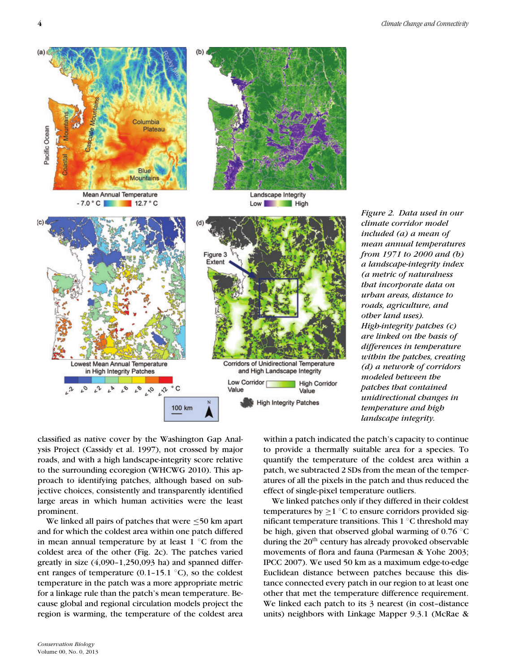

*Figure 2. Data used in our climate corridor model included (a) a mean of mean annual temperatures from 1971 to 2000 and (b) a landscape-integrity index (a metric of naturalness that incorporate data on urban areas, distance to roads, agriculture, and other land uses). High-integrity patches (c) are linked on the basis of differences in temperature within the patches, creating (d) a network of corridors modeled between the patches that contained unidirectional changes in temperature and high landscape integrity.*

classified as native cover by the Washington Gap Analysis Project (Cassidy et al. 1997), not crossed by major roads, and with a high landscape-integrity score relative to the surrounding ecoregion (WHCWG 2010). This approach to identifying patches, although based on subjective choices, consistently and transparently identified large areas in which human activities were the least prominent.

We linked all pairs of patches that were  $\leq 50$  km apart and for which the coldest area within one patch differed in mean annual temperature by at least 1 ◦C from the coldest area of the other (Fig. 2c). The patches varied greatly in size (4,090–1,250,093 ha) and spanned different ranges of temperature (0.1–15.1  $\degree$ C), so the coldest temperature in the patch was a more appropriate metric for a linkage rule than the patch's mean temperature. Because global and regional circulation models project the region is warming, the temperature of the coldest area

within a patch indicated the patch's capacity to continue to provide a thermally suitable area for a species. To quantify the temperature of the coldest area within a patch, we subtracted 2 SDs from the mean of the temperatures of all the pixels in the patch and thus reduced the effect of single-pixel temperature outliers.

We linked patches only if they differed in their coldest temperatures by  $\geq 1$  °C to ensure corridors provided significant temperature transitions. This  $1^{\circ}$ C threshold may be high, given that observed global warming of 0.76 ◦C during the  $20<sup>th</sup>$  century has already provoked observable movements of flora and fauna (Parmesan & Yohe 2003; IPCC 2007). We used 50 km as a maximum edge-to-edge Euclidean distance between patches because this distance connected every patch in our region to at least one other that met the temperature difference requirement. We linked each patch to its 3 nearest (in cost–distance units) neighbors with Linkage Mapper 9.3.1 (McRae &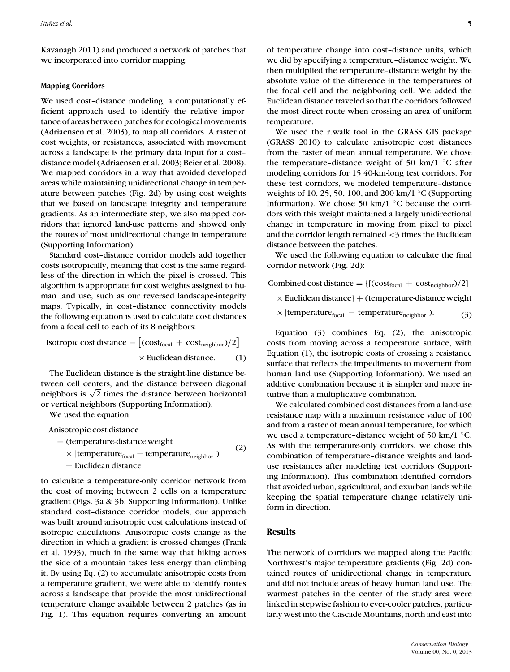Kavanagh 2011) and produced a network of patches that we incorporated into corridor mapping.

#### **Mapping Corridors**

We used cost–distance modeling, a computationally efficient approach used to identify the relative importance of areas between patches for ecological movements (Adriaensen et al. 2003), to map all corridors. A raster of cost weights, or resistances, associated with movement across a landscape is the primary data input for a cost– distance model (Adriaensen et al. 2003; Beier et al. 2008). We mapped corridors in a way that avoided developed areas while maintaining unidirectional change in temperature between patches (Fig. 2d) by using cost weights that we based on landscape integrity and temperature gradients. As an intermediate step, we also mapped corridors that ignored land-use patterns and showed only the routes of most unidirectional change in temperature (Supporting Information).

Standard cost–distance corridor models add together costs isotropically, meaning that cost is the same regardless of the direction in which the pixel is crossed. This algorithm is appropriate for cost weights assigned to human land use, such as our reversed landscape-integrity maps. Typically, in cost–distance connectivity models the following equation is used to calculate cost distances from a focal cell to each of its 8 neighbors:

Isotropic cost distance  $= [(\mathrm{cost}_{\mathrm{focal}} + \mathrm{cost}_{\mathrm{neighbor}})/2]$  $\times$  Euclidean distance. (1)

The Euclidean distance is the straight-line distance between cell centers, and the distance between diagonal neighbors is  $\sqrt{2}$  times the distance between horizontal or vertical neighbors (Supporting Information).

We used the equation

Anisotropic cost distance

= (temperature-distance weight  
\n
$$
\times
$$
 |temperature<sub>focal</sub> - temperature<sub>neighbor</sub>|) (2)  
\n+ Euclidean distance

to calculate a temperature-only corridor network from the cost of moving between 2 cells on a temperature gradient (Figs. 3a & 3b, Supporting Information). Unlike standard cost–distance corridor models, our approach was built around anisotropic cost calculations instead of isotropic calculations. Anisotropic costs change as the direction in which a gradient is crossed changes (Frank et al. 1993), much in the same way that hiking across the side of a mountain takes less energy than climbing it. By using Eq. (2) to accumulate anisotropic costs from a temperature gradient, we were able to identify routes across a landscape that provide the most unidirectional temperature change available between 2 patches (as in Fig. 1). This equation requires converting an amount of temperature change into cost–distance units, which we did by specifying a temperature–distance weight. We then multiplied the temperature–distance weight by the absolute value of the difference in the temperatures of the focal cell and the neighboring cell. We added the Euclidean distance traveled so that the corridors followed the most direct route when crossing an area of uniform temperature.

We used the r.walk tool in the GRASS GIS package (GRASS 2010) to calculate anisotropic cost distances from the raster of mean annual temperature. We chose the temperature–distance weight of 50 km/1  $°C$  after modeling corridors for 15 40-km-long test corridors. For these test corridors, we modeled temperature–distance weights of 10, 25, 50, 100, and 200 km/1 ◦C (Supporting Information). We chose 50 km/1  $°C$  because the corridors with this weight maintained a largely unidirectional change in temperature in moving from pixel to pixel and the corridor length remained <3 times the Euclidean distance between the patches.

We used the following equation to calculate the final corridor network (Fig. 2d):

Combined cost distance  $= \{[(\text{cost}_{\text{focal}} + \text{cost}_{\text{neighbor}})/2]$ 

 $\times$  Euclidean distance} + (temperature-distance weight

 $\times$  |temperature<sub>focal</sub> – temperature<sub>neighbor</sub>|). (3)

Equation (3) combines Eq. (2), the anisotropic costs from moving across a temperature surface, with Equation (1), the isotropic costs of crossing a resistance surface that reflects the impediments to movement from human land use (Supporting Information). We used an additive combination because it is simpler and more intuitive than a multiplicative combination.

We calculated combined cost distances from a land-use resistance map with a maximum resistance value of 100 and from a raster of mean annual temperature, for which we used a temperature-distance weight of 50 km/1 <sup>○</sup>C. As with the temperature-only corridors, we chose this combination of temperature–distance weights and landuse resistances after modeling test corridors (Supporting Information). This combination identified corridors that avoided urban, agricultural, and exurban lands while keeping the spatial temperature change relatively uniform in direction.

# **Results**

The network of corridors we mapped along the Pacific Northwest's major temperature gradients (Fig. 2d) contained routes of unidirectional change in temperature and did not include areas of heavy human land use. The warmest patches in the center of the study area were linked in stepwise fashion to ever-cooler patches, particularly west into the Cascade Mountains, north and east into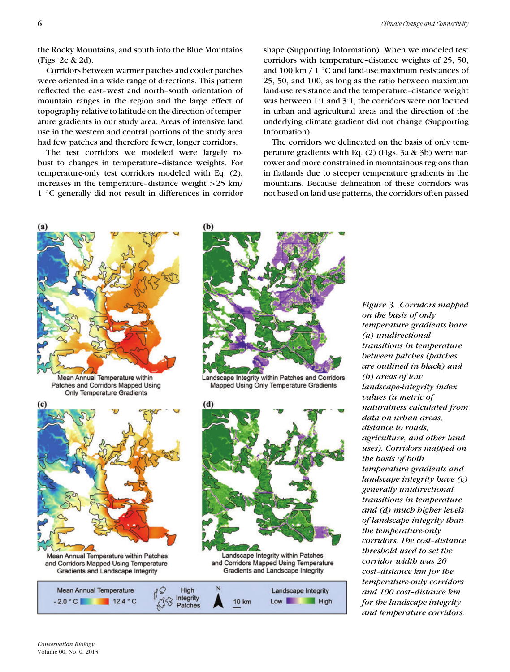the Rocky Mountains, and south into the Blue Mountains

Corridors between warmer patches and cooler patches were oriented in a wide range of directions. This pattern reflected the east–west and north–south orientation of mountain ranges in the region and the large effect of topography relative to latitude on the direction of temperature gradients in our study area. Areas of intensive land use in the western and central portions of the study area had few patches and therefore fewer, longer corridors.

The test corridors we modeled were largely robust to changes in temperature–distance weights. For temperature-only test corridors modeled with Eq. (2), increases in the temperature–distance weight >25 km/ 1 ◦C generally did not result in differences in corridor shape (Supporting Information). When we modeled test corridors with temperature–distance weights of 25, 50, and 100 km / 1  $\degree$ C and land-use maximum resistances of 25, 50, and 100, as long as the ratio between maximum land-use resistance and the temperature–distance weight was between 1:1 and 3:1, the corridors were not located in urban and agricultural areas and the direction of the underlying climate gradient did not change (Supporting Information).

The corridors we delineated on the basis of only temperature gradients with Eq. (2) (Figs. 3a & 3b) were narrower and more constrained in mountainous regions than in flatlands due to steeper temperature gradients in the mountains. Because delineation of these corridors was not based on land-use patterns, the corridors often passed



Mean Annual Temperature within Patches and Corridors Mapped Using Only Temperature Gradients



Mean Annual Temperature within Patches and Corridors Mapped Using Temperature Gradients and Landscape Integrity



*Figure 3. Corridors mapped on the basis of only temperature gradients have (a) unidirectional transitions in temperature between patches (patches are outlined in black) and (b) areas of low landscape-integrity index values (a metric of naturalness calculated from data on urban areas, distance to roads, agriculture, and other land uses). Corridors mapped on the basis of both temperature gradients and landscape integrity have (c) generally unidirectional transitions in temperature and (d) much higher levels of landscape integrity than the temperature-only corridors. The cost–distance threshold used to set the corridor width was 20 cost–distance km for the temperature-only corridors and 100 cost–distance km for the landscape-integrity and temperature corridors.*

(Figs. 2c & 2d).



Landscape Integrity within Patches and Corridors Mapped Using Only Temperature Gradients

Landscape Integrity within Patches and Corridors Mapped Using Temperature

Gradients and Landscape Integrity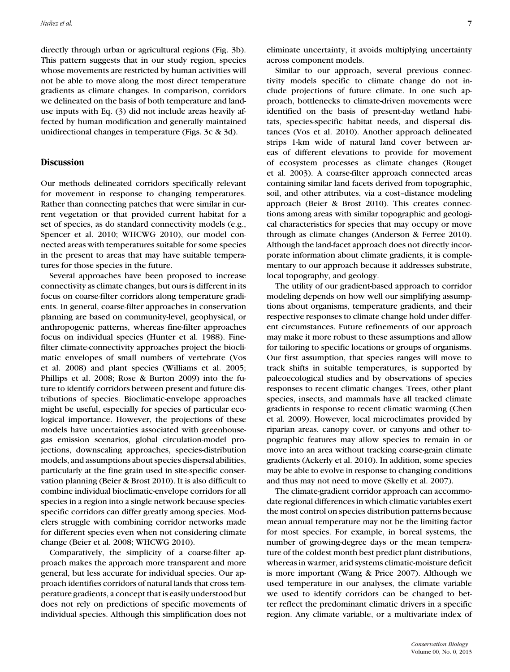directly through urban or agricultural regions (Fig. 3b). This pattern suggests that in our study region, species whose movements are restricted by human activities will not be able to move along the most direct temperature gradients as climate changes. In comparison, corridors we delineated on the basis of both temperature and landuse inputs with Eq. (3) did not include areas heavily affected by human modification and generally maintained unidirectional changes in temperature (Figs. 3c & 3d).

### **Discussion**

Our methods delineated corridors specifically relevant for movement in response to changing temperatures. Rather than connecting patches that were similar in current vegetation or that provided current habitat for a set of species, as do standard connectivity models (e.g., Spencer et al. 2010; WHCWG 2010), our model connected areas with temperatures suitable for some species in the present to areas that may have suitable temperatures for those species in the future.

Several approaches have been proposed to increase connectivity as climate changes, but ours is different in its focus on coarse-filter corridors along temperature gradients. In general, coarse-filter approaches in conservation planning are based on community-level, geophysical, or anthropogenic patterns, whereas fine-filter approaches focus on individual species (Hunter et al. 1988). Finefilter climate-connectivity approaches project the bioclimatic envelopes of small numbers of vertebrate (Vos et al. 2008) and plant species (Williams et al. 2005; Phillips et al. 2008; Rose & Burton 2009) into the future to identify corridors between present and future distributions of species. Bioclimatic-envelope approaches might be useful, especially for species of particular ecological importance. However, the projections of these models have uncertainties associated with greenhousegas emission scenarios, global circulation-model projections, downscaling approaches, species-distribution models, and assumptions about species dispersal abilities, particularly at the fine grain used in site-specific conservation planning (Beier & Brost 2010). It is also difficult to combine individual bioclimatic-envelope corridors for all species in a region into a single network because speciesspecific corridors can differ greatly among species. Modelers struggle with combining corridor networks made for different species even when not considering climate change (Beier et al. 2008; WHCWG 2010).

Comparatively, the simplicity of a coarse-filter approach makes the approach more transparent and more general, but less accurate for individual species. Our approach identifies corridors of natural lands that cross temperature gradients, a concept that is easily understood but does not rely on predictions of specific movements of individual species. Although this simplification does not

Similar to our approach, several previous connectivity models specific to climate change do not include projections of future climate. In one such approach, bottlenecks to climate-driven movements were identified on the basis of present-day wetland habitats, species-specific habitat needs, and dispersal distances (Vos et al. 2010). Another approach delineated strips 1-km wide of natural land cover between areas of different elevations to provide for movement of ecosystem processes as climate changes (Rouget et al. 2003). A coarse-filter approach connected areas containing similar land facets derived from topographic, soil, and other attributes, via a cost–distance modeling approach (Beier & Brost 2010). This creates connections among areas with similar topographic and geological characteristics for species that may occupy or move through as climate changes (Anderson & Ferree 2010). Although the land-facet approach does not directly incorporate information about climate gradients, it is complementary to our approach because it addresses substrate, local topography, and geology.

The utility of our gradient-based approach to corridor modeling depends on how well our simplifying assumptions about organisms, temperature gradients, and their respective responses to climate change hold under different circumstances. Future refinements of our approach may make it more robust to these assumptions and allow for tailoring to specific locations or groups of organisms. Our first assumption, that species ranges will move to track shifts in suitable temperatures, is supported by paleoecological studies and by observations of species responses to recent climatic changes. Trees, other plant species, insects, and mammals have all tracked climate gradients in response to recent climatic warming (Chen et al. 2009). However, local microclimates provided by riparian areas, canopy cover, or canyons and other topographic features may allow species to remain in or move into an area without tracking coarse-grain climate gradients (Ackerly et al. 2010). In addition, some species may be able to evolve in response to changing conditions and thus may not need to move (Skelly et al. 2007).

The climate-gradient corridor approach can accommodate regional differences in which climatic variables exert the most control on species distribution patterns because mean annual temperature may not be the limiting factor for most species. For example, in boreal systems, the number of growing-degree days or the mean temperature of the coldest month best predict plant distributions, whereas in warmer, arid systems climatic-moisture deficit is more important (Wang & Price 2007). Although we used temperature in our analyses, the climate variable we used to identify corridors can be changed to better reflect the predominant climatic drivers in a specific region. Any climate variable, or a multivariate index of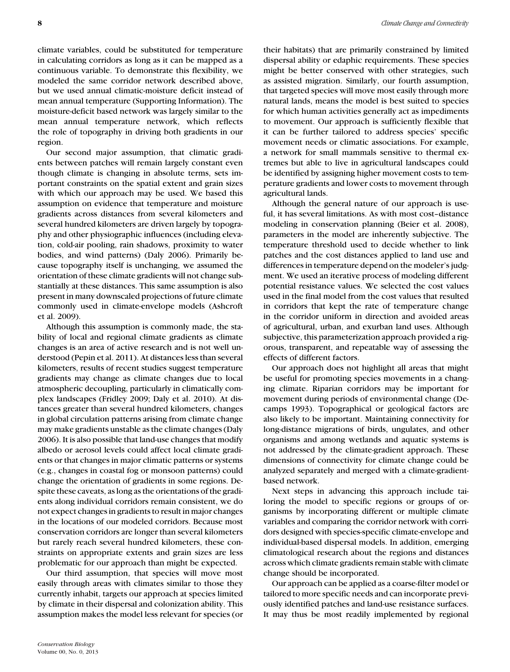climate variables, could be substituted for temperature in calculating corridors as long as it can be mapped as a continuous variable. To demonstrate this flexibility, we modeled the same corridor network described above, but we used annual climatic-moisture deficit instead of mean annual temperature (Supporting Information). The moisture-deficit based network was largely similar to the mean annual temperature network, which reflects the role of topography in driving both gradients in our region.

Our second major assumption, that climatic gradients between patches will remain largely constant even though climate is changing in absolute terms, sets important constraints on the spatial extent and grain sizes with which our approach may be used. We based this assumption on evidence that temperature and moisture gradients across distances from several kilometers and several hundred kilometers are driven largely by topography and other physiographic influences (including elevation, cold-air pooling, rain shadows, proximity to water bodies, and wind patterns) (Daly 2006). Primarily because topography itself is unchanging, we assumed the orientation of these climate gradients will not change substantially at these distances. This same assumption is also present in many downscaled projections of future climate commonly used in climate-envelope models (Ashcroft et al. 2009).

Although this assumption is commonly made, the stability of local and regional climate gradients as climate changes is an area of active research and is not well understood (Pepin et al. 2011). At distances less than several kilometers, results of recent studies suggest temperature gradients may change as climate changes due to local atmospheric decoupling, particularly in climatically complex landscapes (Fridley 2009; Daly et al. 2010). At distances greater than several hundred kilometers, changes in global circulation patterns arising from climate change may make gradients unstable as the climate changes (Daly 2006). It is also possible that land-use changes that modify albedo or aerosol levels could affect local climate gradients or that changes in major climatic patterns or systems (e.g., changes in coastal fog or monsoon patterns) could change the orientation of gradients in some regions. Despite these caveats, as long as the orientations of the gradients along individual corridors remain consistent, we do not expect changes in gradients to result in major changes in the locations of our modeled corridors. Because most conservation corridors are longer than several kilometers but rarely reach several hundred kilometers, these constraints on appropriate extents and grain sizes are less problematic for our approach than might be expected.

Our third assumption, that species will move most easily through areas with climates similar to those they currently inhabit, targets our approach at species limited by climate in their dispersal and colonization ability. This assumption makes the model less relevant for species (or their habitats) that are primarily constrained by limited dispersal ability or edaphic requirements. These species might be better conserved with other strategies, such as assisted migration. Similarly, our fourth assumption, that targeted species will move most easily through more natural lands, means the model is best suited to species for which human activities generally act as impediments to movement. Our approach is sufficiently flexible that it can be further tailored to address species' specific movement needs or climatic associations. For example, a network for small mammals sensitive to thermal extremes but able to live in agricultural landscapes could be identified by assigning higher movement costs to temperature gradients and lower costs to movement through agricultural lands.

Although the general nature of our approach is useful, it has several limitations. As with most cost–distance modeling in conservation planning (Beier et al. 2008), parameters in the model are inherently subjective. The temperature threshold used to decide whether to link patches and the cost distances applied to land use and differences in temperature depend on the modeler's judgment. We used an iterative process of modeling different potential resistance values. We selected the cost values used in the final model from the cost values that resulted in corridors that kept the rate of temperature change in the corridor uniform in direction and avoided areas of agricultural, urban, and exurban land uses. Although subjective, this parameterization approach provided a rigorous, transparent, and repeatable way of assessing the effects of different factors.

Our approach does not highlight all areas that might be useful for promoting species movements in a changing climate. Riparian corridors may be important for movement during periods of environmental change (Decamps 1993). Topographical or geological factors are also likely to be important. Maintaining connectivity for long-distance migrations of birds, ungulates, and other organisms and among wetlands and aquatic systems is not addressed by the climate-gradient approach. These dimensions of connectivity for climate change could be analyzed separately and merged with a climate-gradientbased network.

Next steps in advancing this approach include tailoring the model to specific regions or groups of organisms by incorporating different or multiple climate variables and comparing the corridor network with corridors designed with species-specific climate-envelope and individual-based dispersal models. In addition, emerging climatological research about the regions and distances across which climate gradients remain stable with climate change should be incorporated.

Our approach can be applied as a coarse-filter model or tailored to more specific needs and can incorporate previously identified patches and land-use resistance surfaces. It may thus be most readily implemented by regional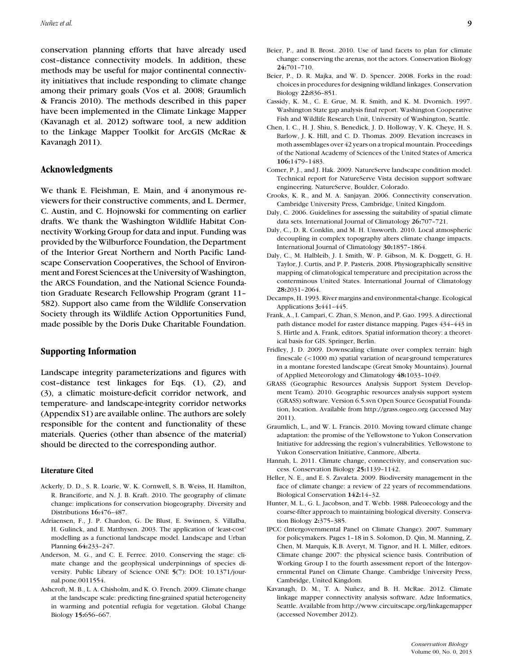conservation planning efforts that have already used cost–distance connectivity models. In addition, these methods may be useful for major continental connectivity initiatives that include responding to climate change among their primary goals (Vos et al. 2008; Graumlich & Francis 2010). The methods described in this paper have been implemented in the Climate Linkage Mapper (Kavanagh et al. 2012) software tool, a new addition to the Linkage Mapper Toolkit for ArcGIS (McRae & Kavanagh 2011).

#### **Acknowledgments**

We thank E. Fleishman, E. Main, and 4 anonymous reviewers for their constructive comments, and L. Dermer, C. Austin, and C. Hojnowski for commenting on earlier drafts. We thank the Washington Wildlife Habitat Connectivity Working Group for data and input. Funding was provided by the Wilburforce Foundation, the Department of the Interior Great Northern and North Pacific Landscape Conservation Cooperatives, the School of Environment and Forest Sciences at the University of Washington, the ARCS Foundation, and the National Science Foundation Graduate Research Fellowship Program (grant 11– 582). Support also came from the Wildlife Conservation Society through its Wildlife Action Opportunities Fund, made possible by the Doris Duke Charitable Foundation.

#### **Supporting Information**

Landscape integrity parameterizations and figures with cost–distance test linkages for Eqs. (1), (2), and (3), a climatic moisture-deficit corridor network, and temperature- and landscape-integrity corridor networks (Appendix S1) are available online. The authors are solely responsible for the content and functionality of these materials. Queries (other than absence of the material) should be directed to the corresponding author.

#### **Literature Cited**

- Ackerly, D. D., S. R. Loarie, W. K. Cornwell, S. B. Weiss, H. Hamilton, R. Branciforte, and N. J. B. Kraft. 2010. The geography of climate change: implications for conservation biogeography. Diversity and Distributions **16:**476–487.
- Adriaensen, F., J. P. Chardon, G. De Blust, E. Swinnen, S. Villalba, H. Gulinck, and E. Matthysen. 2003. The application of 'least-cost' modelling as a functional landscape model. Landscape and Urban Planning **64:**233–247.
- Anderson, M. G., and C. E. Ferree. 2010. Conserving the stage: climate change and the geophysical underpinnings of species diversity. Public Library of Science ONE **5**(7): DOI: 10.1371/journal.pone.0011554.
- Ashcroft, M. B., L. A. Chisholm, and K. O. French. 2009. Climate change at the landscape scale: predicting fine-grained spatial heterogeneity in warming and potential refugia for vegetation. Global Change Biology **15:**656–667.
- Beier, P., D. R. Majka, and W. D. Spencer. 2008. Forks in the road: choices in procedures for designing wildland linkages. Conservation Biology **22:**836–851.
- Cassidy, K. M., C. E. Grue, M. R. Smith, and K. M. Dvornich. 1997. Washington State gap analysis final report. Washington Cooperative Fish and Wildlife Research Unit, University of Washington, Seattle.
- Chen, I. C., H. J. Shiu, S. Benedick, J. D. Holloway, V. K. Cheye, H. S. Barlow, J. K. Hill, and C. D. Thomas. 2009. Elevation increases in moth assemblages over 42 years on a tropical mountain. Proceedings of the National Academy of Sciences of the United States of America **106:**1479–1483.
- Comer, P. J., and J. Hak. 2009. NatureServe landscape condition model. Technical report for NatureServe Vista decision support software engineering. NatureServe, Boulder, Colorado.
- Crooks, K. R., and M. A. Sanjayan. 2006. Connectivity conservation. Cambridge University Press, Cambridge, United Kingdom.
- Daly, C. 2006. Guidelines for assessing the suitability of spatial climate data sets. International Journal of Climatology **26:**707–721.
- Daly, C., D. R. Conklin, and M. H. Unsworth. 2010. Local atmospheric decoupling in complex topography alters climate change impacts. International Journal of Climatology **30:**1857–1864.
- Daly, C., M. Halbleib, J. I. Smith, W. P. Gibson, M. K. Doggett, G. H. Taylor, J. Curtis, and P. P. Pasteris. 2008. Physiographically sensitive mapping of climatological temperature and precipitation across the conterminous United States. International Journal of Climatology **28:**2031–2064.
- Decamps, H. 1993. River margins and environmental-change. Ecological Applications **3:**441–445.
- Frank, A., I. Campari, C. Zhan, S. Menon, and P. Gao. 1993. A directional path distance model for raster distance mapping. Pages 434–443 in S. Hirtle and A. Frank, editors. Spatial information theory: a theoretical basis for GIS. Springer, Berlin.
- Fridley, J. D. 2009. Downscaling climate over complex terrain: high finescale (<1000 m) spatial variation of near-ground temperatures in a montane forested landscape (Great Smoky Mountains). Journal of Applied Meteorology and Climatology **48:**1033–1049.
- GRASS (Geographic Resources Analysis Support System Development Team). 2010. Geographic resources analysis support system (GRASS) software. Version 6.5.svn Open Source Geospatial Foundation, location. Available from http://grass.osgeo.org (accessed May 2011).
- Graumlich, L., and W. L. Francis. 2010. Moving toward climate change adaptation: the promise of the Yellowstone to Yukon Conservation Initiative for addressing the region's vulnerabilities. Yellowstone to Yukon Conservation Initiative, Canmore, Alberta.
- Hannah, L. 2011. Climate change, connectivity, and conservation success. Conservation Biology **25:**1139–1142.
- Heller, N. E., and E. S. Zavaleta. 2009. Biodiversity management in the face of climate change: a review of 22 years of recommendations. Biological Conservation **142:**14–32.
- Hunter, M. L., G. L. Jacobson, and T. Webb. 1988. Paleoecology and the coarse-filter approach to maintaining biological diversity. Conservation Biology **2:**375–385.
- IPCC (Intergovernmental Panel on Climate Change). 2007. Summary for policymakers. Pages 1–18 in S. Solomon, D. Qin, M. Manning, Z. Chen, M. Marquis, K.B. Averyt, M. Tignor, and H. L. Miller, editors. Climate change 2007: the physical science basis. Contribution of Working Group I to the fourth assessment report of the Intergovernmental Panel on Climate Change. Cambridge University Press, Cambridge, United Kingdom.
- Kavanagh, D. M., T. A. Nuñez, and B. H. McRae. 2012. Climate linkage mapper connectivity analysis software. Adze Informatics, Seattle. Available from http://www.circuitscape.org/linkagemapper (accessed November 2012).